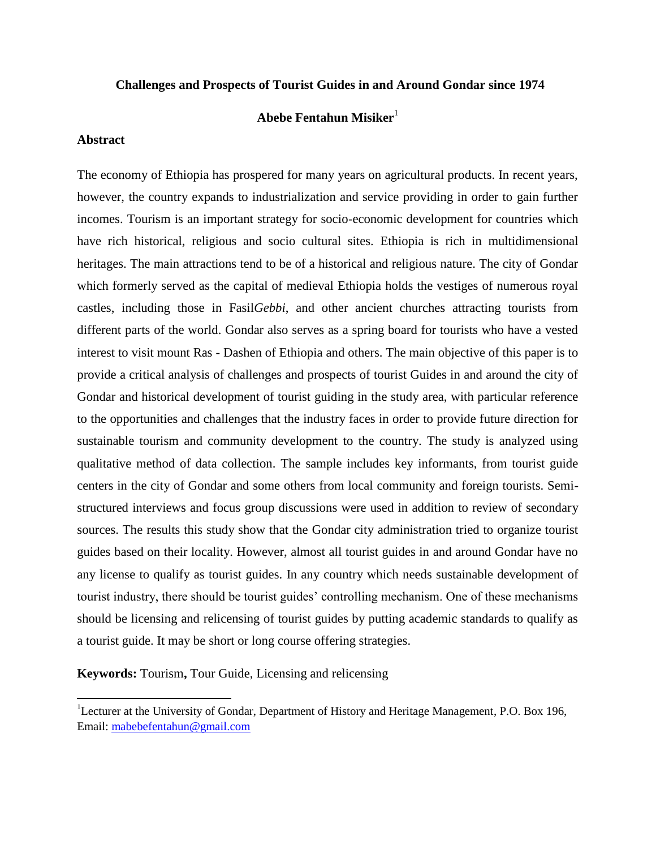### **Challenges and Prospects of Tourist Guides in and Around Gondar since 1974**

### **Abebe Fentahun Misiker**<sup>1</sup>

### **Abstract**

 $\overline{\phantom{a}}$ 

The economy of Ethiopia has prospered for many years on agricultural products. In recent years, however, the country expands to industrialization and service providing in order to gain further incomes. Tourism is an important strategy for socio-economic development for countries which have rich historical, religious and socio cultural sites. Ethiopia is rich in multidimensional heritages. The main attractions tend to be of a historical and religious nature. The city of Gondar which formerly served as the capital of medieval Ethiopia holds the vestiges of numerous royal castles, including those in Fasil*Gebbi*, and other ancient churches attracting tourists from different parts of the world. Gondar also serves as a spring board for tourists who have a vested interest to visit mount Ras - Dashen of Ethiopia and others. The main objective of this paper is to provide a critical analysis of challenges and prospects of tourist Guides in and around the city of Gondar and historical development of tourist guiding in the study area, with particular reference to the opportunities and challenges that the industry faces in order to provide future direction for sustainable tourism and community development to the country. The study is analyzed using qualitative method of data collection. The sample includes key informants, from tourist guide centers in the city of Gondar and some others from local community and foreign tourists. Semistructured interviews and focus group discussions were used in addition to review of secondary sources. The results this study show that the Gondar city administration tried to organize tourist guides based on their locality. However, almost all tourist guides in and around Gondar have no any license to qualify as tourist guides. In any country which needs sustainable development of tourist industry, there should be tourist guides" controlling mechanism. One of these mechanisms should be licensing and relicensing of tourist guides by putting academic standards to qualify as a tourist guide. It may be short or long course offering strategies.

**Keywords:** Tourism**,** Tour Guide, Licensing and relicensing

<sup>&</sup>lt;sup>1</sup>Lecturer at the University of Gondar, Department of History and Heritage Management, P.O. Box 196, Email: [mabebefentahun@gmail.com](mailto:mabebefentahun@gmail.com)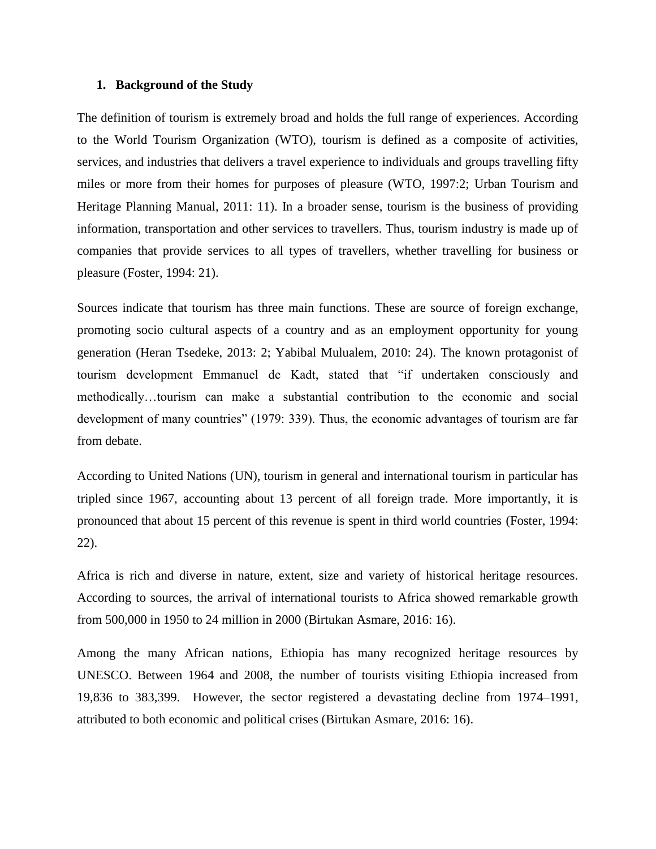#### **1. Background of the Study**

The definition of tourism is extremely broad and holds the full range of experiences. According to the World Tourism Organization (WTO), tourism is defined as a composite of activities, services, and industries that delivers a travel experience to individuals and groups travelling fifty miles or more from their homes for purposes of pleasure (WTO, 1997:2; Urban Tourism and Heritage Planning Manual, 2011: 11). In a broader sense, tourism is the business of providing information, transportation and other services to travellers. Thus, tourism industry is made up of companies that provide services to all types of travellers, whether travelling for business or pleasure (Foster, 1994: 21).

Sources indicate that tourism has three main functions. These are source of foreign exchange, promoting socio cultural aspects of a country and as an employment opportunity for young generation (Heran Tsedeke, 2013: 2; Yabibal Mulualem, 2010: 24). The known protagonist of tourism development Emmanuel de Kadt, stated that "if undertaken consciously and methodically…tourism can make a substantial contribution to the economic and social development of many countries" (1979: 339). Thus, the economic advantages of tourism are far from debate.

According to United Nations (UN), tourism in general and international tourism in particular has tripled since 1967, accounting about 13 percent of all foreign trade. More importantly, it is pronounced that about 15 percent of this revenue is spent in third world countries (Foster, 1994: 22).

Africa is rich and diverse in nature, extent, size and variety of historical heritage resources. According to sources, the arrival of international tourists to Africa showed remarkable growth from 500,000 in 1950 to 24 million in 2000 (Birtukan Asmare, 2016: 16).

Among the many African nations, Ethiopia has many recognized heritage resources by UNESCO. Between 1964 and 2008, the number of tourists visiting Ethiopia increased from 19,836 to 383,399. However, the sector registered a devastating decline from 1974–1991, attributed to both economic and political crises (Birtukan Asmare, 2016: 16).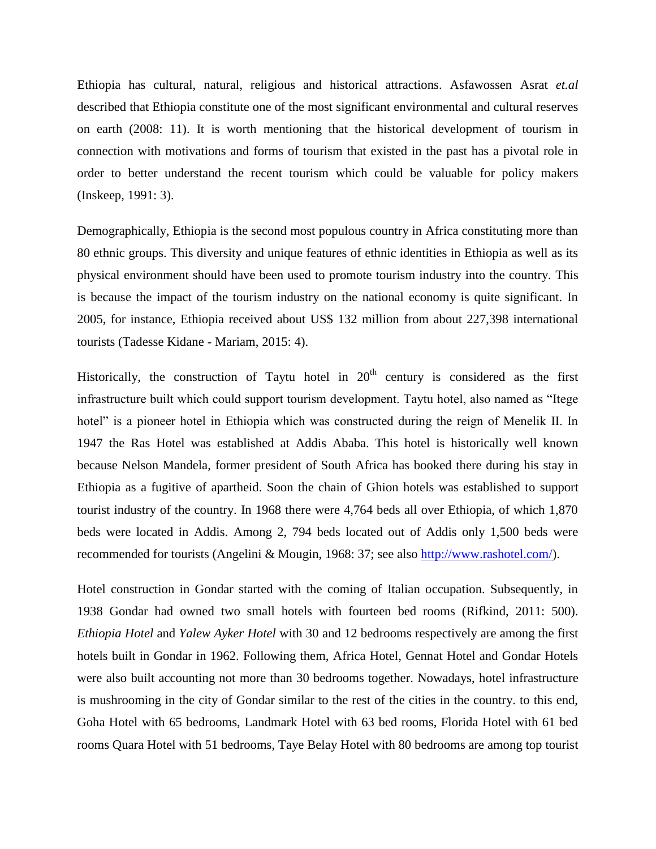Ethiopia has cultural, natural, religious and historical attractions. Asfawossen Asrat *et.al* described that Ethiopia constitute one of the most significant environmental and cultural reserves on earth (2008: 11). It is worth mentioning that the historical development of tourism in connection with motivations and forms of tourism that existed in the past has a pivotal role in order to better understand the recent tourism which could be valuable for policy makers (Inskeep, 1991: 3).

Demographically, Ethiopia is the second most populous country in Africa constituting more than 80 ethnic groups. This diversity and unique features of ethnic identities in Ethiopia as well as its physical environment should have been used to promote tourism industry into the country. This is because the impact of the tourism industry on the national economy is quite significant. In 2005, for instance, Ethiopia received about US\$ 132 million from about 227,398 international tourists (Tadesse Kidane - Mariam, 2015: 4).

Historically, the construction of Taytu hotel in  $20<sup>th</sup>$  century is considered as the first infrastructure built which could support tourism development. Taytu hotel, also named as "Itege hotel" is a pioneer hotel in Ethiopia which was constructed during the reign of Menelik II. In 1947 the Ras Hotel was established at Addis Ababa. This hotel is historically well known because Nelson Mandela, former president of South Africa has booked there during his stay in Ethiopia as a fugitive of apartheid. Soon the chain of Ghion hotels was established to support tourist industry of the country. In 1968 there were 4,764 beds all over Ethiopia, of which 1,870 beds were located in Addis. Among 2, 794 beds located out of Addis only 1,500 beds were recommended for tourists (Angelini & Mougin, 1968: 37; see also [http://www.rashotel.com/\)](http://www.rashotel.com/).

Hotel construction in Gondar started with the coming of Italian occupation. Subsequently, in 1938 Gondar had owned two small hotels with fourteen bed rooms (Rifkind, 2011: 500). *Ethiopia Hotel* and *Yalew Ayker Hotel* with 30 and 12 bedrooms respectively are among the first hotels built in Gondar in 1962. Following them, Africa Hotel, Gennat Hotel and Gondar Hotels were also built accounting not more than 30 bedrooms together. Nowadays, hotel infrastructure is mushrooming in the city of Gondar similar to the rest of the cities in the country. to this end, Goha Hotel with 65 bedrooms, Landmark Hotel with 63 bed rooms, Florida Hotel with 61 bed rooms Quara Hotel with 51 bedrooms, Taye Belay Hotel with 80 bedrooms are among top tourist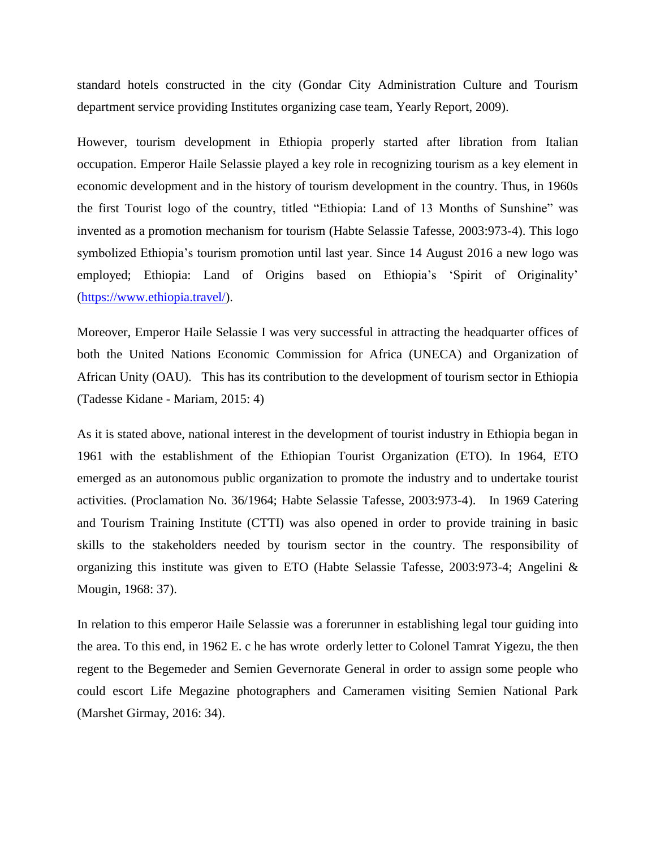standard hotels constructed in the city (Gondar City Administration Culture and Tourism department service providing Institutes organizing case team, Yearly Report, 2009).

However, tourism development in Ethiopia properly started after libration from Italian occupation. Emperor Haile Selassie played a key role in recognizing tourism as a key element in economic development and in the history of tourism development in the country. Thus, in 1960s the first Tourist logo of the country, titled "Ethiopia: Land of 13 Months of Sunshine" was invented as a promotion mechanism for tourism (Habte Selassie Tafesse, 2003:973-4). This logo symbolized Ethiopia's tourism promotion until last year. Since 14 August 2016 a new logo was employed; Ethiopia: Land of Origins based on Ethiopia's 'Spirit of Originality' [\(https://www.ethiopia.travel/\)](https://www.ethiopia.travel/).

Moreover, Emperor Haile Selassie I was very successful in attracting the headquarter offices of both the United Nations Economic Commission for Africa (UNECA) and Organization of African Unity (OAU). This has its contribution to the development of tourism sector in Ethiopia (Tadesse Kidane - Mariam, 2015: 4)

As it is stated above, national interest in the development of tourist industry in Ethiopia began in 1961 with the establishment of the Ethiopian Tourist Organization (ETO). In 1964, ETO emerged as an autonomous public organization to promote the industry and to undertake tourist activities. (Proclamation No. 36/1964; Habte Selassie Tafesse, 2003:973-4). In 1969 Catering and Tourism Training Institute (CTTI) was also opened in order to provide training in basic skills to the stakeholders needed by tourism sector in the country. The responsibility of organizing this institute was given to ETO (Habte Selassie Tafesse, 2003:973-4; Angelini & Mougin, 1968: 37).

In relation to this emperor Haile Selassie was a forerunner in establishing legal tour guiding into the area. To this end, in 1962 E. c he has wrote orderly letter to Colonel Tamrat Yigezu, the then regent to the Begemeder and Semien Gevernorate General in order to assign some people who could escort Life Megazine photographers and Cameramen visiting Semien National Park (Marshet Girmay, 2016: 34).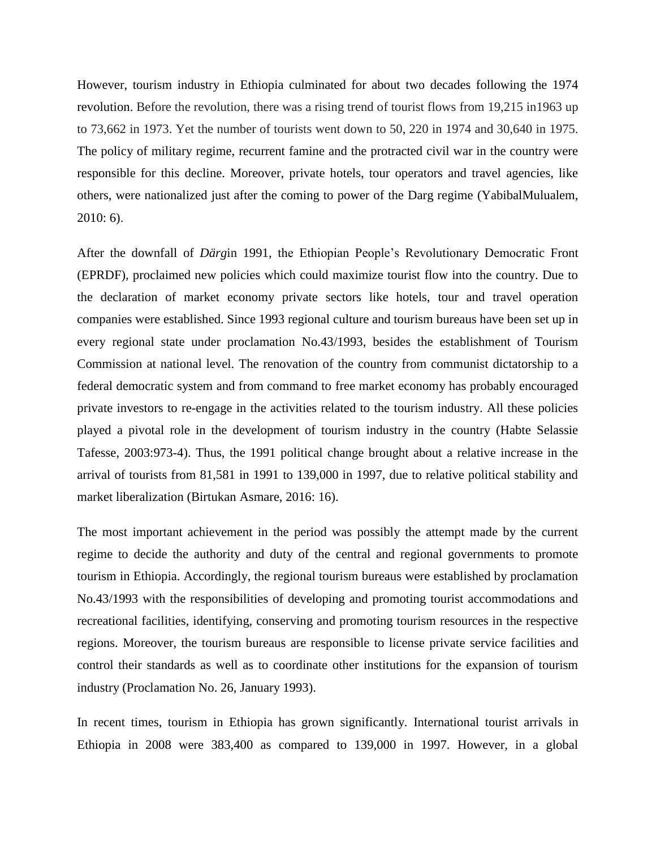However, tourism industry in Ethiopia culminated for about two decades following the 1974 revolution. Before the revolution, there was a rising trend of tourist flows from 19,215 in1963 up to 73,662 in 1973. Yet the number of tourists went down to 50, 220 in 1974 and 30,640 in 1975. The policy of military regime, recurrent famine and the protracted civil war in the country were responsible for this decline. Moreover, private hotels, tour operators and travel agencies, like others, were nationalized just after the coming to power of the Darg regime (YabibalMulualem, 2010: 6).

After the downfall of *Därg*in 1991, the Ethiopian People"s Revolutionary Democratic Front (EPRDF), proclaimed new policies which could maximize tourist flow into the country. Due to the declaration of market economy private sectors like hotels, tour and travel operation companies were established. Since 1993 regional culture and tourism bureaus have been set up in every regional state under proclamation No.43/1993, besides the establishment of Tourism Commission at national level. The renovation of the country from communist dictatorship to a federal democratic system and from command to free market economy has probably encouraged private investors to re-engage in the activities related to the tourism industry. All these policies played a pivotal role in the development of tourism industry in the country (Habte Selassie Tafesse, 2003:973-4). Thus, the 1991 political change brought about a relative increase in the arrival of tourists from 81,581 in 1991 to 139,000 in 1997, due to relative political stability and market liberalization (Birtukan Asmare, 2016: 16).

The most important achievement in the period was possibly the attempt made by the current regime to decide the authority and duty of the central and regional governments to promote tourism in Ethiopia. Accordingly, the regional tourism bureaus were established by proclamation No.43/1993 with the responsibilities of developing and promoting tourist accommodations and recreational facilities, identifying, conserving and promoting tourism resources in the respective regions. Moreover, the tourism bureaus are responsible to license private service facilities and control their standards as well as to coordinate other institutions for the expansion of tourism industry (Proclamation No. 26, January 1993).

In recent times, tourism in Ethiopia has grown significantly. International tourist arrivals in Ethiopia in 2008 were 383,400 as compared to 139,000 in 1997. However, in a global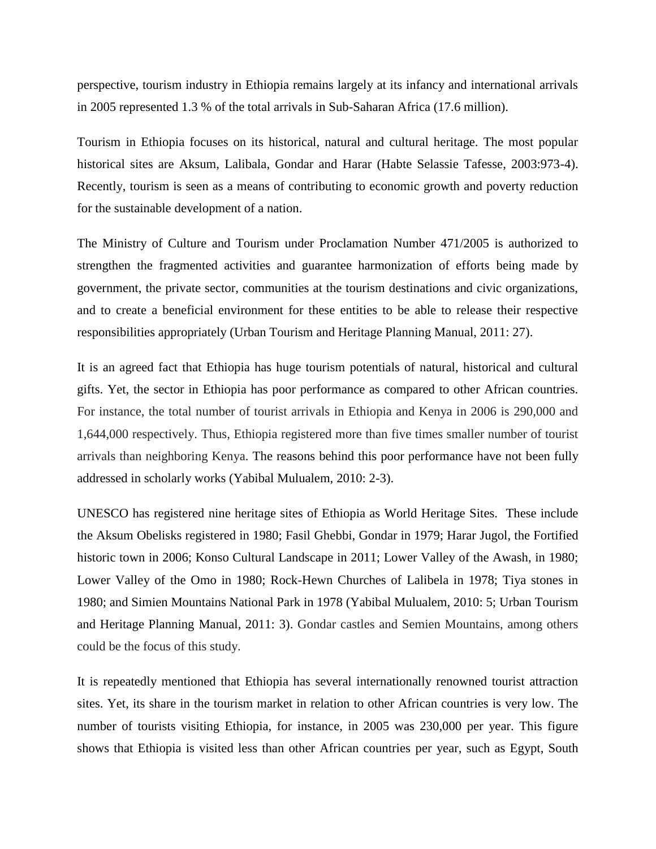perspective, tourism industry in Ethiopia remains largely at its infancy and international arrivals in 2005 represented 1.3 % of the total arrivals in Sub-Saharan Africa (17.6 million).

Tourism in Ethiopia focuses on its historical, natural and cultural heritage. The most popular historical sites are Aksum, Lalibala, Gondar and Harar (Habte Selassie Tafesse, 2003:973-4). Recently, tourism is seen as a means of contributing to economic growth and poverty reduction for the sustainable development of a nation.

The Ministry of Culture and Tourism under Proclamation Number 471/2005 is authorized to strengthen the fragmented activities and guarantee harmonization of efforts being made by government, the private sector, communities at the tourism destinations and civic organizations, and to create a beneficial environment for these entities to be able to release their respective responsibilities appropriately (Urban Tourism and Heritage Planning Manual, 2011: 27).

It is an agreed fact that Ethiopia has huge tourism potentials of natural, historical and cultural gifts. Yet, the sector in Ethiopia has poor performance as compared to other African countries. For instance, the total number of tourist arrivals in Ethiopia and Kenya in 2006 is 290,000 and 1,644,000 respectively. Thus, Ethiopia registered more than five times smaller number of tourist arrivals than neighboring Kenya. The reasons behind this poor performance have not been fully addressed in scholarly works (Yabibal Mulualem, 2010: 2-3).

UNESCO has registered nine heritage sites of Ethiopia as World Heritage Sites. These include the Aksum Obelisks registered in 1980; Fasil Ghebbi, Gondar in 1979; Harar Jugol, the Fortified historic town in 2006; Konso Cultural Landscape in 2011; Lower Valley of the Awash, in 1980; Lower Valley of the Omo in 1980; Rock-Hewn Churches of Lalibela in 1978; Tiya stones in 1980; and Simien Mountains National Park in 1978 (Yabibal Mulualem, 2010: 5; Urban Tourism and Heritage Planning Manual, 2011: 3). Gondar castles and Semien Mountains, among others could be the focus of this study.

It is repeatedly mentioned that Ethiopia has several internationally renowned tourist attraction sites. Yet, its share in the tourism market in relation to other African countries is very low. The number of tourists visiting Ethiopia, for instance, in 2005 was 230,000 per year. This figure shows that Ethiopia is visited less than other African countries per year, such as Egypt, South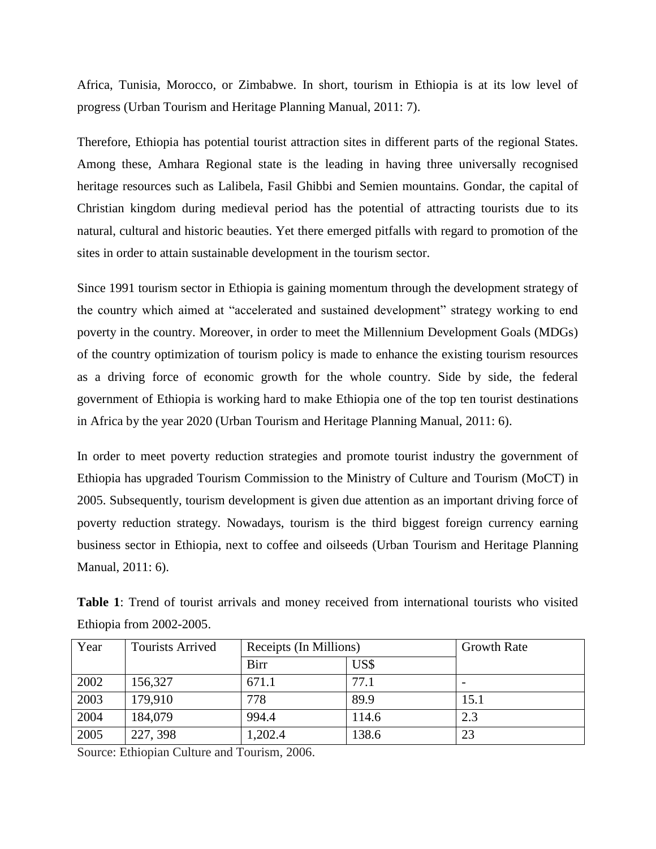Africa, Tunisia, Morocco, or Zimbabwe. In short, tourism in Ethiopia is at its low level of progress (Urban Tourism and Heritage Planning Manual, 2011: 7).

Therefore, Ethiopia has potential tourist attraction sites in different parts of the regional States. Among these, Amhara Regional state is the leading in having three universally recognised heritage resources such as Lalibela, Fasil Ghibbi and Semien mountains. Gondar, the capital of Christian kingdom during medieval period has the potential of attracting tourists due to its natural, cultural and historic beauties. Yet there emerged pitfalls with regard to promotion of the sites in order to attain sustainable development in the tourism sector.

Since 1991 tourism sector in Ethiopia is gaining momentum through the development strategy of the country which aimed at "accelerated and sustained development" strategy working to end poverty in the country. Moreover, in order to meet the Millennium Development Goals (MDGs) of the country optimization of tourism policy is made to enhance the existing tourism resources as a driving force of economic growth for the whole country. Side by side, the federal government of Ethiopia is working hard to make Ethiopia one of the top ten tourist destinations in Africa by the year 2020 (Urban Tourism and Heritage Planning Manual, 2011: 6).

In order to meet poverty reduction strategies and promote tourist industry the government of Ethiopia has upgraded Tourism Commission to the Ministry of Culture and Tourism (MoCT) in 2005. Subsequently, tourism development is given due attention as an important driving force of poverty reduction strategy. Nowadays, tourism is the third biggest foreign currency earning business sector in Ethiopia, next to coffee and oilseeds (Urban Tourism and Heritage Planning Manual, 2011: 6).

|                          |  |  |  |  | Table 1: Trend of tourist arrivals and money received from international tourists who visited |  |  |
|--------------------------|--|--|--|--|-----------------------------------------------------------------------------------------------|--|--|
| Ethiopia from 2002-2005. |  |  |  |  |                                                                                               |  |  |

| Year | Tourists Arrived | Receipts (In Millions) | <b>Growth Rate</b> |      |
|------|------------------|------------------------|--------------------|------|
|      |                  | Birr                   | US\$               |      |
| 2002 | 156,327          | 671.1                  | 77.1               |      |
| 2003 | 179,910          | 778                    | 89.9               | 15.1 |
| 2004 | 184,079          | 994.4                  | 114.6              | 2.3  |
| 2005 | 227, 398         | 1,202.4                | 138.6              | 23   |

Source: Ethiopian Culture and Tourism, 2006.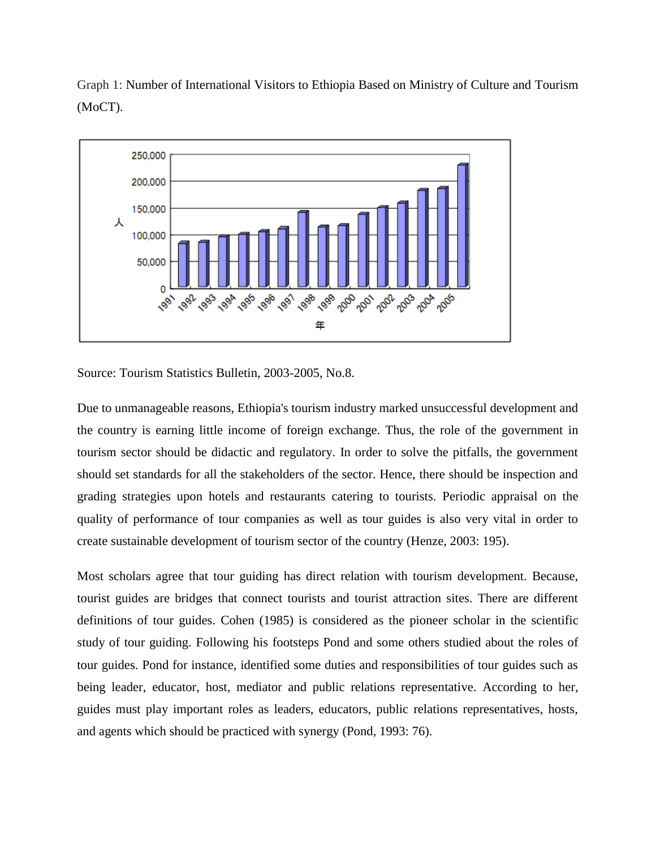Graph 1: Number of International Visitors to Ethiopia Based on Ministry of Culture and Tourism (MoCT).



Source: Tourism Statistics Bulletin, 2003-2005, No.8.

Due to unmanageable reasons, Ethiopia's tourism industry marked unsuccessful development and the country is earning little income of foreign exchange. Thus, the role of the government in tourism sector should be didactic and regulatory. In order to solve the pitfalls, the government should set standards for all the stakeholders of the sector. Hence, there should be inspection and grading strategies upon hotels and restaurants catering to tourists. Periodic appraisal on the quality of performance of tour companies as well as tour guides is also very vital in order to create sustainable development of tourism sector of the country (Henze, 2003: 195).

Most scholars agree that tour guiding has direct relation with tourism development. Because, tourist guides are bridges that connect tourists and tourist attraction sites. There are different definitions of tour guides. Cohen (1985) is considered as the pioneer scholar in the scientific study of tour guiding. Following his footsteps Pond and some others studied about the roles of tour guides. Pond for instance, identified some duties and responsibilities of tour guides such as being leader, educator, host, mediator and public relations representative. According to her, guides must play important roles as leaders, educators, public relations representatives, hosts, and agents which should be practiced with synergy (Pond, 1993: 76).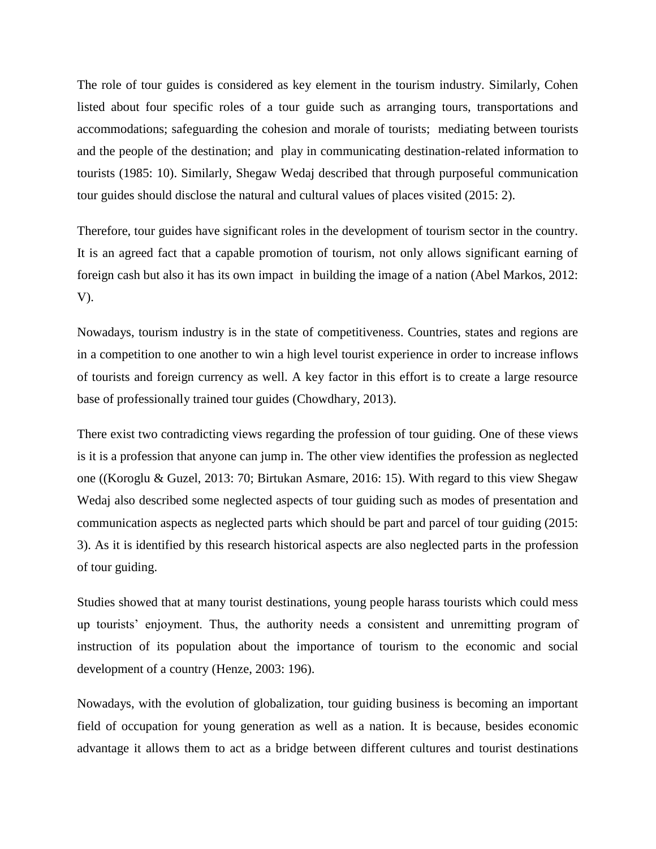The role of tour guides is considered as key element in the tourism industry. Similarly, Cohen listed about four specific roles of a tour guide such as arranging tours, transportations and accommodations; safeguarding the cohesion and morale of tourists; mediating between tourists and the people of the destination; and play in communicating destination-related information to tourists (1985: 10). Similarly, Shegaw Wedaj described that through purposeful communication tour guides should disclose the natural and cultural values of places visited (2015: 2).

Therefore, tour guides have significant roles in the development of tourism sector in the country. It is an agreed fact that a capable promotion of tourism, not only allows significant earning of foreign cash but also it has its own impact in building the image of a nation (Abel Markos, 2012: V).

Nowadays, tourism industry is in the state of competitiveness. Countries, states and regions are in a competition to one another to win a high level tourist experience in order to increase inflows of tourists and foreign currency as well. A key factor in this effort is to create a large resource base of professionally trained tour guides (Chowdhary, 2013).

There exist two contradicting views regarding the profession of tour guiding. One of these views is it is a profession that anyone can jump in. The other view identifies the profession as neglected one ((Koroglu & Guzel, 2013: 70; Birtukan Asmare, 2016: 15). With regard to this view Shegaw Wedaj also described some neglected aspects of tour guiding such as modes of presentation and communication aspects as neglected parts which should be part and parcel of tour guiding (2015: 3). As it is identified by this research historical aspects are also neglected parts in the profession of tour guiding.

Studies showed that at many tourist destinations, young people harass tourists which could mess up tourists' enjoyment. Thus, the authority needs a consistent and unremitting program of instruction of its population about the importance of tourism to the economic and social development of a country (Henze, 2003: 196).

Nowadays, with the evolution of globalization, tour guiding business is becoming an important field of occupation for young generation as well as a nation. It is because, besides economic advantage it allows them to act as a bridge between different cultures and tourist destinations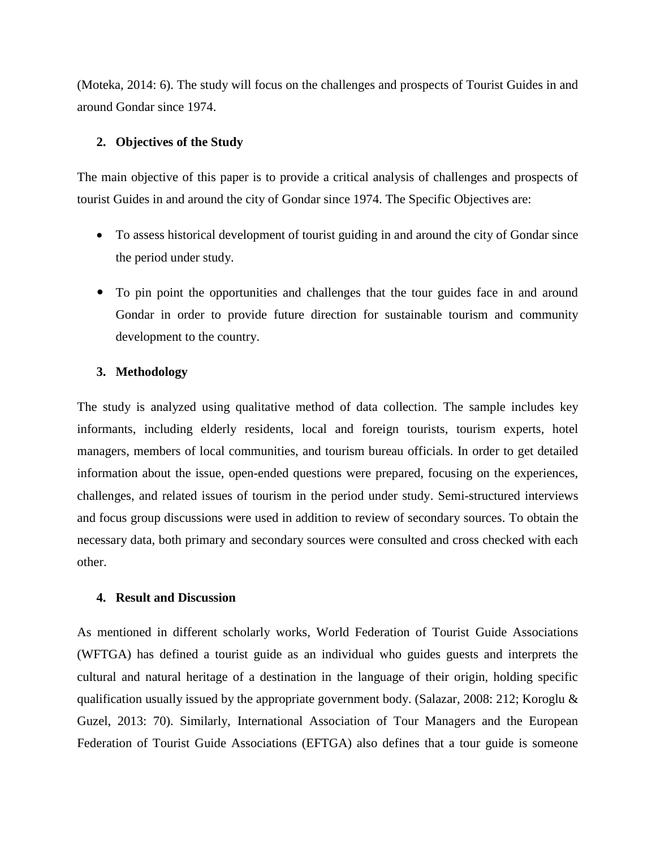(Moteka, 2014: 6). The study will focus on the challenges and prospects of Tourist Guides in and around Gondar since 1974.

# **2. Objectives of the Study**

The main objective of this paper is to provide a critical analysis of challenges and prospects of tourist Guides in and around the city of Gondar since 1974. The Specific Objectives are:

- To assess historical development of tourist guiding in and around the city of Gondar since the period under study.
- To pin point the opportunities and challenges that the tour guides face in and around Gondar in order to provide future direction for sustainable tourism and community development to the country.

# **3. Methodology**

The study is analyzed using qualitative method of data collection. The sample includes key informants, including elderly residents, local and foreign tourists, tourism experts, hotel managers, members of local communities, and tourism bureau officials. In order to get detailed information about the issue, open-ended questions were prepared, focusing on the experiences, challenges, and related issues of tourism in the period under study. Semi-structured interviews and focus group discussions were used in addition to review of secondary sources. To obtain the necessary data, both primary and secondary sources were consulted and cross checked with each other.

## **4. Result and Discussion**

As mentioned in different scholarly works, World Federation of Tourist Guide Associations (WFTGA) has defined a tourist guide as an individual who guides guests and interprets the cultural and natural heritage of a destination in the language of their origin, holding specific qualification usually issued by the appropriate government body. (Salazar, 2008: 212; Koroglu & Guzel, 2013: 70). Similarly, International Association of Tour Managers and the European Federation of Tourist Guide Associations (EFTGA) also defines that a tour guide is someone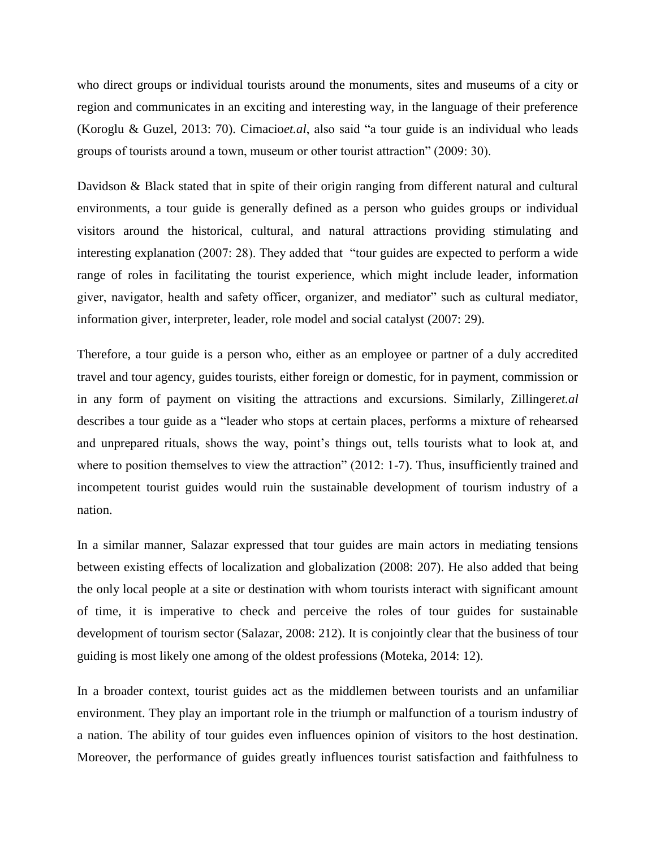who direct groups or individual tourists around the monuments, sites and museums of a city or region and communicates in an exciting and interesting way, in the language of their preference (Koroglu & Guzel, 2013: 70). Cimacio*et.al*, also said "a tour guide is an individual who leads groups of tourists around a town, museum or other tourist attraction" (2009: 30).

Davidson & Black stated that in spite of their origin ranging from different natural and cultural environments, a tour guide is generally defined as a person who guides groups or individual visitors around the historical, cultural, and natural attractions providing stimulating and interesting explanation (2007: 28). They added that "tour guides are expected to perform a wide range of roles in facilitating the tourist experience, which might include leader, information giver, navigator, health and safety officer, organizer, and mediator" such as cultural mediator, information giver, interpreter, leader, role model and social catalyst (2007: 29).

Therefore, a tour guide is a person who, either as an employee or partner of a duly accredited travel and tour agency, guides tourists, either foreign or domestic, for in payment, commission or in any form of payment on visiting the attractions and excursions. Similarly, Zillinger*et.al* describes a tour guide as a "leader who stops at certain places, performs a mixture of rehearsed and unprepared rituals, shows the way, point's things out, tells tourists what to look at, and where to position themselves to view the attraction" (2012: 1-7). Thus, insufficiently trained and incompetent tourist guides would ruin the sustainable development of tourism industry of a nation.

In a similar manner, Salazar expressed that tour guides are main actors in mediating tensions between existing effects of localization and globalization (2008: 207). He also added that being the only local people at a site or destination with whom tourists interact with significant amount of time, it is imperative to check and perceive the roles of tour guides for sustainable development of tourism sector (Salazar, 2008: 212). It is conjointly clear that the business of tour guiding is most likely one among of the oldest professions (Moteka, 2014: 12).

In a broader context, tourist guides act as the middlemen between tourists and an unfamiliar environment. They play an important role in the triumph or malfunction of a tourism industry of a nation. The ability of tour guides even influences opinion of visitors to the host destination. Moreover, the performance of guides greatly influences tourist satisfaction and faithfulness to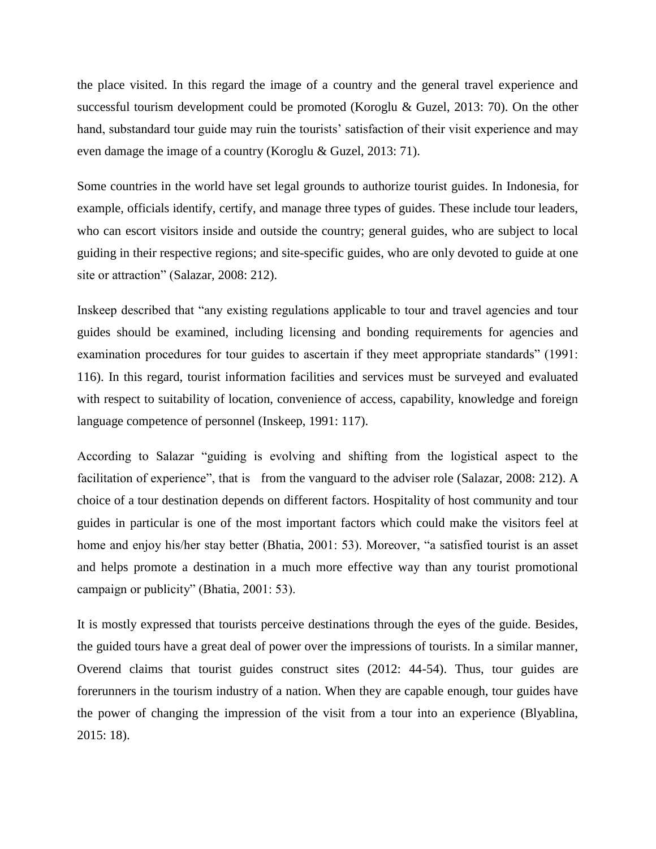the place visited. In this regard the image of a country and the general travel experience and successful tourism development could be promoted (Koroglu & Guzel, 2013: 70). On the other hand, substandard tour guide may ruin the tourists' satisfaction of their visit experience and may even damage the image of a country (Koroglu & Guzel, 2013: 71).

Some countries in the world have set legal grounds to authorize tourist guides. In Indonesia, for example, officials identify, certify, and manage three types of guides. These include tour leaders, who can escort visitors inside and outside the country; general guides, who are subject to local guiding in their respective regions; and site-specific guides, who are only devoted to guide at one site or attraction" (Salazar, 2008: 212).

Inskeep described that "any existing regulations applicable to tour and travel agencies and tour guides should be examined, including licensing and bonding requirements for agencies and examination procedures for tour guides to ascertain if they meet appropriate standards" (1991: 116). In this regard, tourist information facilities and services must be surveyed and evaluated with respect to suitability of location, convenience of access, capability, knowledge and foreign language competence of personnel (Inskeep, 1991: 117).

According to Salazar "guiding is evolving and shifting from the logistical aspect to the facilitation of experience", that is from the vanguard to the adviser role (Salazar, 2008: 212). A choice of a tour destination depends on different factors. Hospitality of host community and tour guides in particular is one of the most important factors which could make the visitors feel at home and enjoy his/her stay better (Bhatia, 2001: 53). Moreover, "a satisfied tourist is an asset and helps promote a destination in a much more effective way than any tourist promotional campaign or publicity" (Bhatia, 2001: 53).

It is mostly expressed that tourists perceive destinations through the eyes of the guide. Besides, the guided tours have a great deal of power over the impressions of tourists. In a similar manner, Overend claims that tourist guides construct sites (2012: 44-54). Thus, tour guides are forerunners in the tourism industry of a nation. When they are capable enough, tour guides have the power of changing the impression of the visit from a tour into an experience (Blyablina, 2015: 18).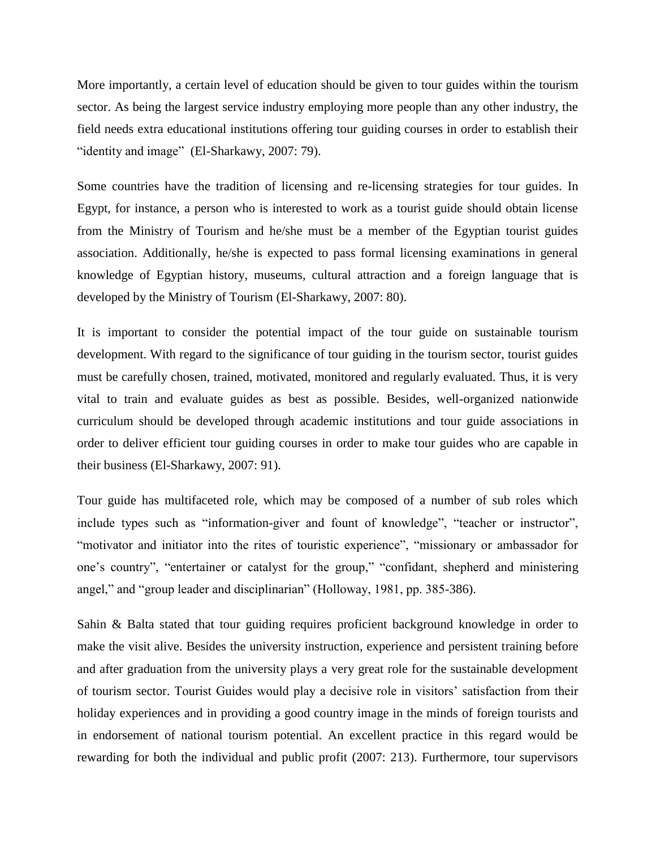More importantly, a certain level of education should be given to tour guides within the tourism sector. As being the largest service industry employing more people than any other industry, the field needs extra educational institutions offering tour guiding courses in order to establish their "identity and image" (El-Sharkawy, 2007: 79).

Some countries have the tradition of licensing and re-licensing strategies for tour guides. In Egypt, for instance, a person who is interested to work as a tourist guide should obtain license from the Ministry of Tourism and he/she must be a member of the Egyptian tourist guides association. Additionally, he/she is expected to pass formal licensing examinations in general knowledge of Egyptian history, museums, cultural attraction and a foreign language that is developed by the Ministry of Tourism (El-Sharkawy, 2007: 80).

It is important to consider the potential impact of the tour guide on sustainable tourism development. With regard to the significance of tour guiding in the tourism sector, tourist guides must be carefully chosen, trained, motivated, monitored and regularly evaluated. Thus, it is very vital to train and evaluate guides as best as possible. Besides, well-organized nationwide curriculum should be developed through academic institutions and tour guide associations in order to deliver efficient tour guiding courses in order to make tour guides who are capable in their business (El-Sharkawy, 2007: 91).

Tour guide has multifaceted role, which may be composed of a number of sub roles which include types such as "information-giver and fount of knowledge", "teacher or instructor", "motivator and initiator into the rites of touristic experience", "missionary or ambassador for one"s country", "entertainer or catalyst for the group," "confidant, shepherd and ministering angel," and "group leader and disciplinarian" (Holloway, 1981, pp. 385-386).

Sahin & Balta stated that tour guiding requires proficient background knowledge in order to make the visit alive. Besides the university instruction, experience and persistent training before and after graduation from the university plays a very great role for the sustainable development of tourism sector. Tourist Guides would play a decisive role in visitors" satisfaction from their holiday experiences and in providing a good country image in the minds of foreign tourists and in endorsement of national tourism potential. An excellent practice in this regard would be rewarding for both the individual and public profit (2007: 213). Furthermore, tour supervisors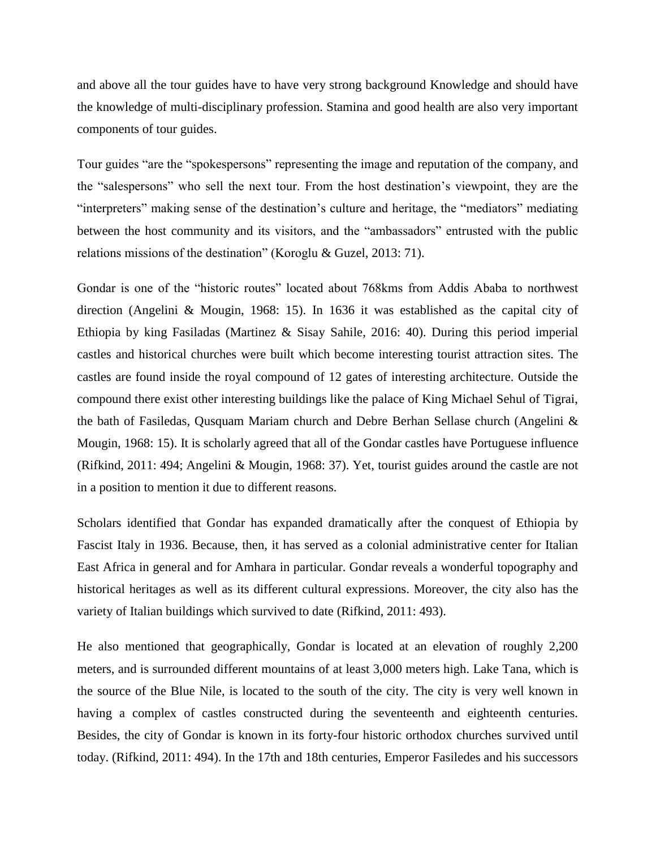and above all the tour guides have to have very strong background Knowledge and should have the knowledge of multi-disciplinary profession. Stamina and good health are also very important components of tour guides.

Tour guides "are the "spokespersons" representing the image and reputation of the company, and the "salespersons" who sell the next tour. From the host destination"s viewpoint, they are the "interpreters" making sense of the destination"s culture and heritage, the "mediators" mediating between the host community and its visitors, and the "ambassadors" entrusted with the public relations missions of the destination" (Koroglu & Guzel, 2013: 71).

Gondar is one of the "historic routes" located about 768kms from Addis Ababa to northwest direction (Angelini & Mougin, 1968: 15). In 1636 it was established as the capital city of Ethiopia by king Fasiladas (Martinez & Sisay Sahile, 2016: 40). During this period imperial castles and historical churches were built which become interesting tourist attraction sites. The castles are found inside the royal compound of 12 gates of interesting architecture. Outside the compound there exist other interesting buildings like the palace of King Michael Sehul of Tigrai, the bath of Fasiledas, Qusquam Mariam church and Debre Berhan Sellase church (Angelini & Mougin, 1968: 15). It is scholarly agreed that all of the Gondar castles have Portuguese influence (Rifkind, 2011: 494; Angelini & Mougin, 1968: 37). Yet, tourist guides around the castle are not in a position to mention it due to different reasons.

Scholars identified that Gondar has expanded dramatically after the conquest of Ethiopia by Fascist Italy in 1936. Because, then, it has served as a colonial administrative center for Italian East Africa in general and for Amhara in particular. Gondar reveals a wonderful topography and historical heritages as well as its different cultural expressions. Moreover, the city also has the variety of Italian buildings which survived to date (Rifkind, 2011: 493).

He also mentioned that geographically, Gondar is located at an elevation of roughly 2,200 meters, and is surrounded different mountains of at least 3,000 meters high. Lake Tana, which is the source of the Blue Nile, is located to the south of the city. The city is very well known in having a complex of castles constructed during the seventeenth and eighteenth centuries. Besides, the city of Gondar is known in its forty-four historic orthodox churches survived until today. (Rifkind, 2011: 494). In the 17th and 18th centuries, Emperor Fasiledes and his successors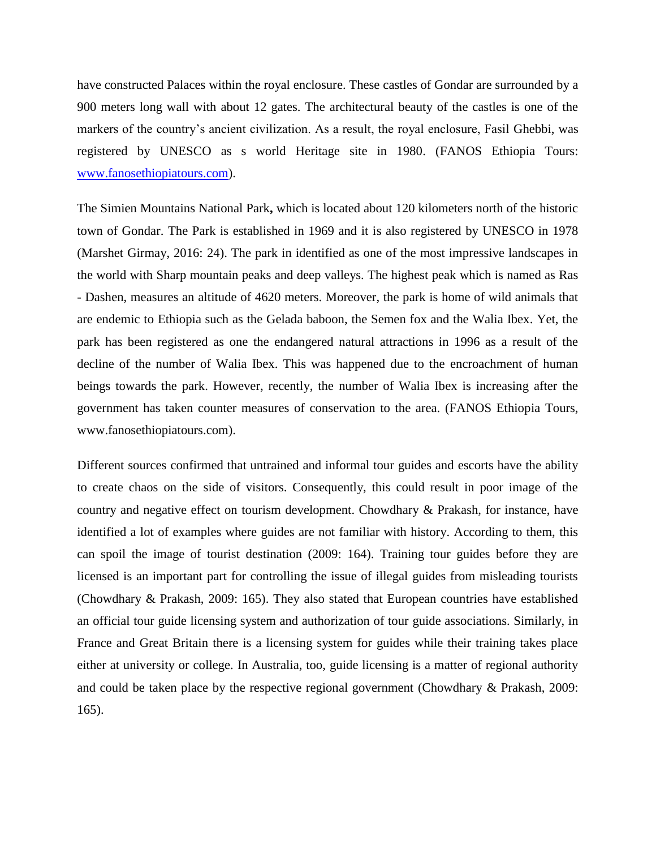have constructed Palaces within the royal enclosure. These castles of Gondar are surrounded by a 900 meters long wall with about 12 gates. The architectural beauty of the castles is one of the markers of the country's ancient civilization. As a result, the royal enclosure, Fasil Ghebbi, was registered by UNESCO as s world Heritage site in 1980. (FANOS Ethiopia Tours: [www.fanosethiopiatours.com\)](http://www.fanosethiopiatours.com/).

The Simien Mountains National Park**,** which is located about 120 kilometers north of the historic town of Gondar. The Park is established in 1969 and it is also registered by UNESCO in 1978 (Marshet Girmay, 2016: 24). The park in identified as one of the most impressive landscapes in the world with Sharp mountain peaks and deep valleys. The highest peak which is named as Ras - Dashen, measures an altitude of 4620 meters. Moreover, the park is home of wild animals that are endemic to Ethiopia such as the Gelada baboon, the Semen fox and the Walia Ibex. Yet, the park has been registered as one the endangered natural attractions in 1996 as a result of the decline of the number of Walia Ibex. This was happened due to the encroachment of human beings towards the park. However, recently, the number of Walia Ibex is increasing after the government has taken counter measures of conservation to the area. (FANOS Ethiopia Tours, www.fanosethiopiatours.com).

Different sources confirmed that untrained and informal tour guides and escorts have the ability to create chaos on the side of visitors. Consequently, this could result in poor image of the country and negative effect on tourism development. Chowdhary & Prakash, for instance, have identified a lot of examples where guides are not familiar with history. According to them, this can spoil the image of tourist destination (2009: 164). Training tour guides before they are licensed is an important part for controlling the issue of illegal guides from misleading tourists (Chowdhary & Prakash, 2009: 165). They also stated that European countries have established an official tour guide licensing system and authorization of tour guide associations. Similarly, in France and Great Britain there is a licensing system for guides while their training takes place either at university or college. In Australia, too, guide licensing is a matter of regional authority and could be taken place by the respective regional government (Chowdhary & Prakash, 2009: 165).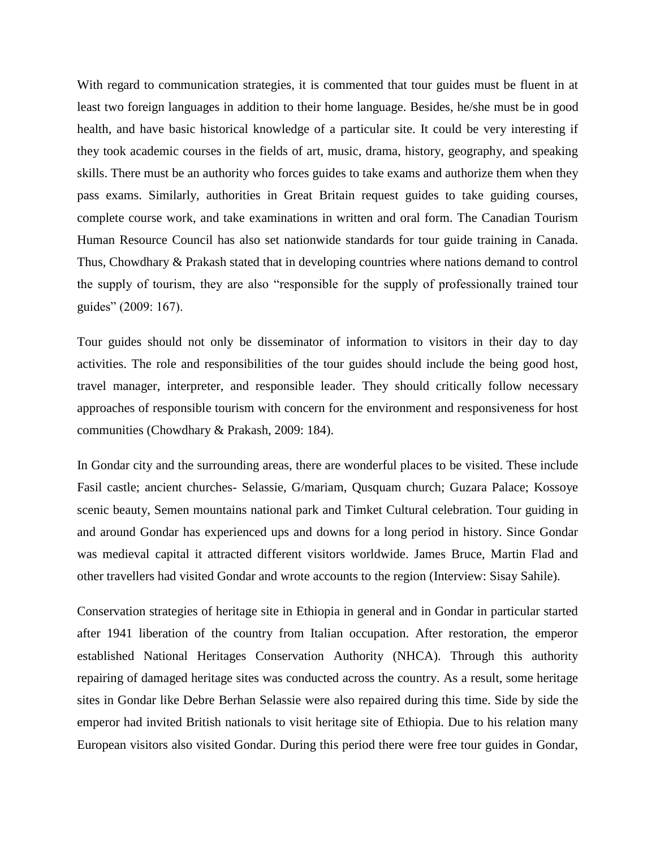With regard to communication strategies, it is commented that tour guides must be fluent in at least two foreign languages in addition to their home language. Besides, he/she must be in good health, and have basic historical knowledge of a particular site. It could be very interesting if they took academic courses in the fields of art, music, drama, history, geography, and speaking skills. There must be an authority who forces guides to take exams and authorize them when they pass exams. Similarly, authorities in Great Britain request guides to take guiding courses, complete course work, and take examinations in written and oral form. The Canadian Tourism Human Resource Council has also set nationwide standards for tour guide training in Canada. Thus, Chowdhary & Prakash stated that in developing countries where nations demand to control the supply of tourism, they are also "responsible for the supply of professionally trained tour guides" (2009: 167).

Tour guides should not only be disseminator of information to visitors in their day to day activities. The role and responsibilities of the tour guides should include the being good host, travel manager, interpreter, and responsible leader. They should critically follow necessary approaches of responsible tourism with concern for the environment and responsiveness for host communities (Chowdhary & Prakash, 2009: 184).

In Gondar city and the surrounding areas, there are wonderful places to be visited. These include Fasil castle; ancient churches- Selassie, G/mariam, Qusquam church; Guzara Palace; Kossoye scenic beauty, Semen mountains national park and Timket Cultural celebration. Tour guiding in and around Gondar has experienced ups and downs for a long period in history. Since Gondar was medieval capital it attracted different visitors worldwide. James Bruce, Martin Flad and other travellers had visited Gondar and wrote accounts to the region (Interview: Sisay Sahile).

Conservation strategies of heritage site in Ethiopia in general and in Gondar in particular started after 1941 liberation of the country from Italian occupation. After restoration, the emperor established National Heritages Conservation Authority (NHCA). Through this authority repairing of damaged heritage sites was conducted across the country. As a result, some heritage sites in Gondar like Debre Berhan Selassie were also repaired during this time. Side by side the emperor had invited British nationals to visit heritage site of Ethiopia. Due to his relation many European visitors also visited Gondar. During this period there were free tour guides in Gondar,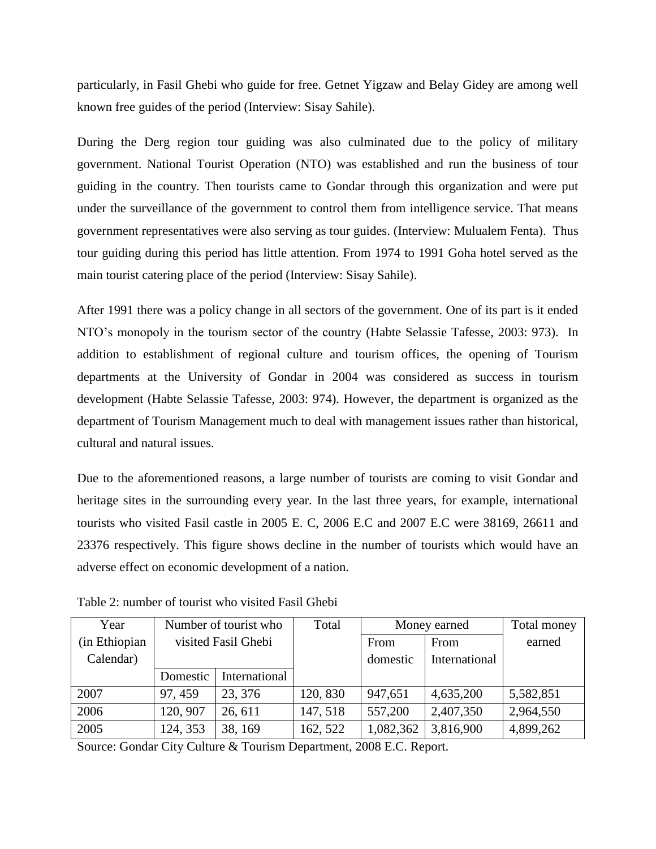particularly, in Fasil Ghebi who guide for free. Getnet Yigzaw and Belay Gidey are among well known free guides of the period (Interview: Sisay Sahile).

During the Derg region tour guiding was also culminated due to the policy of military government. National Tourist Operation (NTO) was established and run the business of tour guiding in the country. Then tourists came to Gondar through this organization and were put under the surveillance of the government to control them from intelligence service. That means government representatives were also serving as tour guides. (Interview: Mulualem Fenta). Thus tour guiding during this period has little attention. From 1974 to 1991 Goha hotel served as the main tourist catering place of the period (Interview: Sisay Sahile).

After 1991 there was a policy change in all sectors of the government. One of its part is it ended NTO"s monopoly in the tourism sector of the country (Habte Selassie Tafesse, 2003: 973). In addition to establishment of regional culture and tourism offices, the opening of Tourism departments at the University of Gondar in 2004 was considered as success in tourism development (Habte Selassie Tafesse, 2003: 974). However, the department is organized as the department of Tourism Management much to deal with management issues rather than historical, cultural and natural issues.

Due to the aforementioned reasons, a large number of tourists are coming to visit Gondar and heritage sites in the surrounding every year. In the last three years, for example, international tourists who visited Fasil castle in 2005 E. C, 2006 E.C and 2007 E.C were 38169, 26611 and 23376 respectively. This figure shows decline in the number of tourists which would have an adverse effect on economic development of a nation.

| Year          | Number of tourist who |               | Total    | Money earned |               | Total money |
|---------------|-----------------------|---------------|----------|--------------|---------------|-------------|
| (in Ethiopian | visited Fasil Ghebi   |               |          | From         | From          | earned      |
| Calendar)     |                       |               |          | domestic     | International |             |
|               | Domestic              | International |          |              |               |             |
| 2007          | 97, 459               | 23, 376       | 120, 830 | 947,651      | 4,635,200     | 5,582,851   |
| 2006          | 120, 907              | 26, 611       | 147, 518 | 557,200      | 2,407,350     | 2,964,550   |
| 2005          | 124, 353              | 38, 169       | 162, 522 | 1,082,362    | 3,816,900     | 4,899,262   |

Table 2: number of tourist who visited Fasil Ghebi

Source: Gondar City Culture & Tourism Department, 2008 E.C. Report.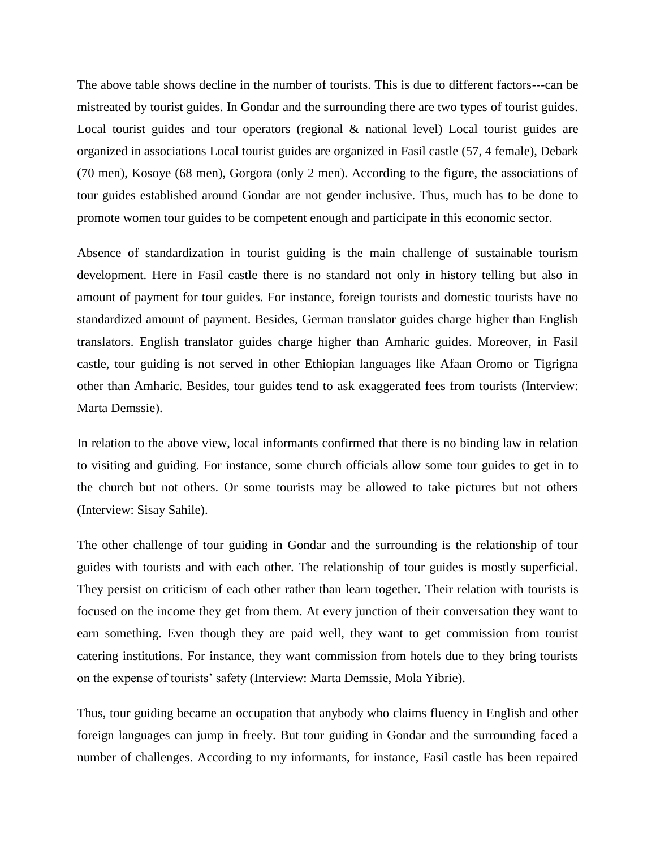The above table shows decline in the number of tourists. This is due to different factors---can be mistreated by tourist guides. In Gondar and the surrounding there are two types of tourist guides. Local tourist guides and tour operators (regional & national level) Local tourist guides are organized in associations Local tourist guides are organized in Fasil castle (57, 4 female), Debark (70 men), Kosoye (68 men), Gorgora (only 2 men). According to the figure, the associations of tour guides established around Gondar are not gender inclusive. Thus, much has to be done to promote women tour guides to be competent enough and participate in this economic sector.

Absence of standardization in tourist guiding is the main challenge of sustainable tourism development. Here in Fasil castle there is no standard not only in history telling but also in amount of payment for tour guides. For instance, foreign tourists and domestic tourists have no standardized amount of payment. Besides, German translator guides charge higher than English translators. English translator guides charge higher than Amharic guides. Moreover, in Fasil castle, tour guiding is not served in other Ethiopian languages like Afaan Oromo or Tigrigna other than Amharic. Besides, tour guides tend to ask exaggerated fees from tourists (Interview: Marta Demssie).

In relation to the above view, local informants confirmed that there is no binding law in relation to visiting and guiding. For instance, some church officials allow some tour guides to get in to the church but not others. Or some tourists may be allowed to take pictures but not others (Interview: Sisay Sahile).

The other challenge of tour guiding in Gondar and the surrounding is the relationship of tour guides with tourists and with each other. The relationship of tour guides is mostly superficial. They persist on criticism of each other rather than learn together. Their relation with tourists is focused on the income they get from them. At every junction of their conversation they want to earn something. Even though they are paid well, they want to get commission from tourist catering institutions. For instance, they want commission from hotels due to they bring tourists on the expense of tourists" safety (Interview: Marta Demssie, Mola Yibrie).

Thus, tour guiding became an occupation that anybody who claims fluency in English and other foreign languages can jump in freely. But tour guiding in Gondar and the surrounding faced a number of challenges. According to my informants, for instance, Fasil castle has been repaired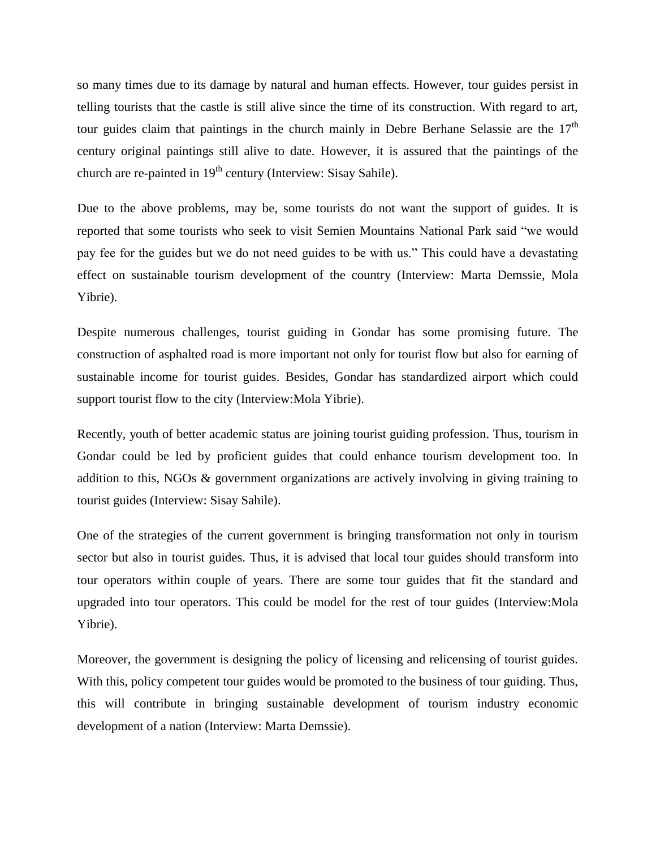so many times due to its damage by natural and human effects. However, tour guides persist in telling tourists that the castle is still alive since the time of its construction. With regard to art, tour guides claim that paintings in the church mainly in Debre Berhane Selassie are the 17<sup>th</sup> century original paintings still alive to date. However, it is assured that the paintings of the church are re-painted in  $19<sup>th</sup>$  century (Interview: Sisay Sahile).

Due to the above problems, may be, some tourists do not want the support of guides. It is reported that some tourists who seek to visit Semien Mountains National Park said "we would pay fee for the guides but we do not need guides to be with us." This could have a devastating effect on sustainable tourism development of the country (Interview: Marta Demssie, Mola Yibrie).

Despite numerous challenges, tourist guiding in Gondar has some promising future. The construction of asphalted road is more important not only for tourist flow but also for earning of sustainable income for tourist guides. Besides, Gondar has standardized airport which could support tourist flow to the city (Interview:Mola Yibrie).

Recently, youth of better academic status are joining tourist guiding profession. Thus, tourism in Gondar could be led by proficient guides that could enhance tourism development too. In addition to this, NGOs & government organizations are actively involving in giving training to tourist guides (Interview: Sisay Sahile).

One of the strategies of the current government is bringing transformation not only in tourism sector but also in tourist guides. Thus, it is advised that local tour guides should transform into tour operators within couple of years. There are some tour guides that fit the standard and upgraded into tour operators. This could be model for the rest of tour guides (Interview:Mola Yibrie).

Moreover, the government is designing the policy of licensing and relicensing of tourist guides. With this, policy competent tour guides would be promoted to the business of tour guiding. Thus, this will contribute in bringing sustainable development of tourism industry economic development of a nation (Interview: Marta Demssie).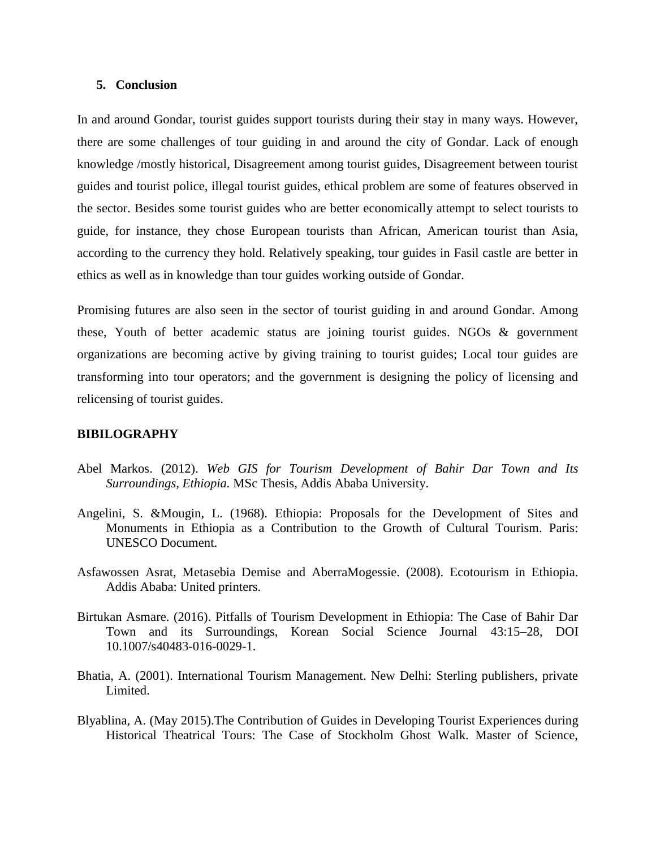### **5. Conclusion**

In and around Gondar, tourist guides support tourists during their stay in many ways. However, there are some challenges of tour guiding in and around the city of Gondar. Lack of enough knowledge /mostly historical, Disagreement among tourist guides, Disagreement between tourist guides and tourist police, illegal tourist guides, ethical problem are some of features observed in the sector. Besides some tourist guides who are better economically attempt to select tourists to guide, for instance, they chose European tourists than African, American tourist than Asia, according to the currency they hold. Relatively speaking, tour guides in Fasil castle are better in ethics as well as in knowledge than tour guides working outside of Gondar.

Promising futures are also seen in the sector of tourist guiding in and around Gondar. Among these, Youth of better academic status are joining tourist guides. NGOs & government organizations are becoming active by giving training to tourist guides; Local tour guides are transforming into tour operators; and the government is designing the policy of licensing and relicensing of tourist guides.

### **BIBILOGRAPHY**

- Abel Markos. (2012). *Web GIS for Tourism Development of Bahir Dar Town and Its Surroundings, Ethiopia.* MSc Thesis, Addis Ababa University.
- Angelini, S. &Mougin, L. (1968). Ethiopia: Proposals for the Development of Sites and Monuments in Ethiopia as a Contribution to the Growth of Cultural Tourism. Paris: UNESCO Document.
- Asfawossen Asrat, Metasebia Demise and AberraMogessie. (2008). Ecotourism in Ethiopia. Addis Ababa: United printers.
- Birtukan Asmare. (2016). Pitfalls of Tourism Development in Ethiopia: The Case of Bahir Dar Town and its Surroundings, Korean Social Science Journal 43:15–28, DOI 10.1007/s40483-016-0029-1.
- Bhatia, A. (2001). International Tourism Management. New Delhi: Sterling publishers, private Limited.
- Blyablina, A. (May 2015).The Contribution of Guides in Developing Tourist Experiences during Historical Theatrical Tours: The Case of Stockholm Ghost Walk. Master of Science,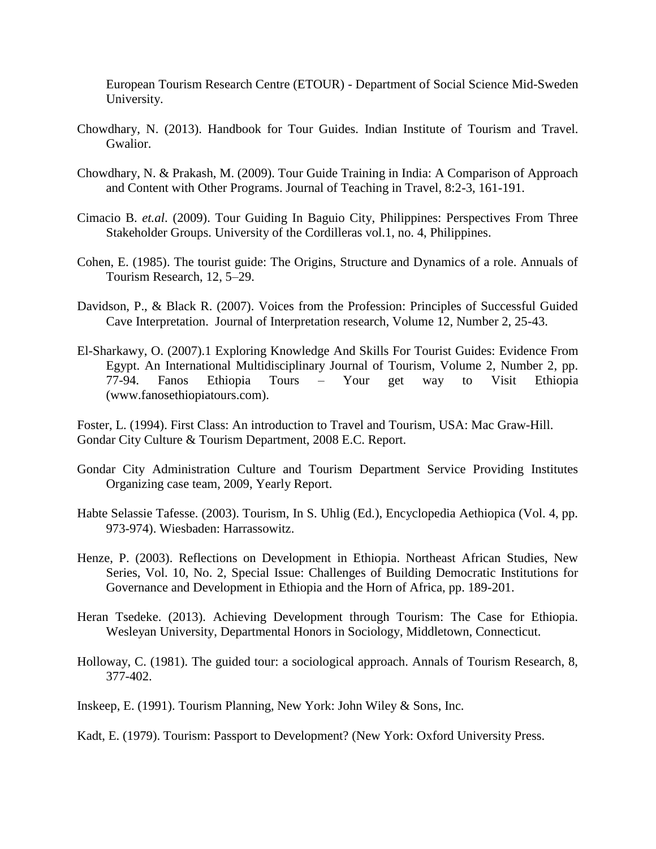European Tourism Research Centre (ETOUR) - Department of Social Science Mid-Sweden University.

- Chowdhary, N. (2013). Handbook for Tour Guides. Indian Institute of Tourism and Travel. Gwalior.
- Chowdhary, N. & Prakash, M. (2009). Tour Guide Training in India: A Comparison of Approach and Content with Other Programs. Journal of Teaching in Travel, 8:2-3, 161-191.
- Cimacio B. *et.al*. (2009). Tour Guiding In Baguio City, Philippines: Perspectives From Three Stakeholder Groups. University of the Cordilleras vol.1, no. 4, Philippines.
- Cohen, E. (1985). The tourist guide: The Origins, Structure and Dynamics of a role. Annuals of Tourism Research, 12, 5–29.
- Davidson, P., & Black R. (2007). Voices from the Profession: Principles of Successful Guided Cave Interpretation. Journal of Interpretation research, Volume 12, Number 2, 25-43.
- El-Sharkawy, O. (2007).1 Exploring Knowledge And Skills For Tourist Guides: Evidence From Egypt. An International Multidisciplinary Journal of Tourism, Volume 2, Number 2, pp. 77-94. Fanos Ethiopia Tours – Your get way to Visit Ethiopia [\(www.fanosethiopiatours.com\)](http://www.fanosethiopiatours.com/).

Foster, L. (1994). First Class: An introduction to Travel and Tourism, USA: Mac Graw-Hill. Gondar City Culture & Tourism Department, 2008 E.C. Report.

- Gondar City Administration Culture and Tourism Department Service Providing Institutes Organizing case team, 2009, Yearly Report.
- Habte Selassie Tafesse. (2003). Tourism, In S. Uhlig (Ed.), Encyclopedia Aethiopica (Vol. 4, pp. 973-974). Wiesbaden: Harrassowitz.
- Henze, P. (2003). Reflections on Development in Ethiopia. Northeast African Studies, New Series, Vol. 10, No. 2, Special Issue: Challenges of Building Democratic Institutions for Governance and Development in Ethiopia and the Horn of Africa, pp. 189-201.
- Heran Tsedeke. (2013). Achieving Development through Tourism: The Case for Ethiopia. Wesleyan University, Departmental Honors in Sociology, Middletown, Connecticut.
- Holloway, C. (1981). The guided tour: a sociological approach. Annals of Tourism Research, 8, 377-402.
- Inskeep, E. (1991). Tourism Planning, New York: John Wiley & Sons, Inc.

Kadt, E. (1979). Tourism: Passport to Development? (New York: Oxford University Press.